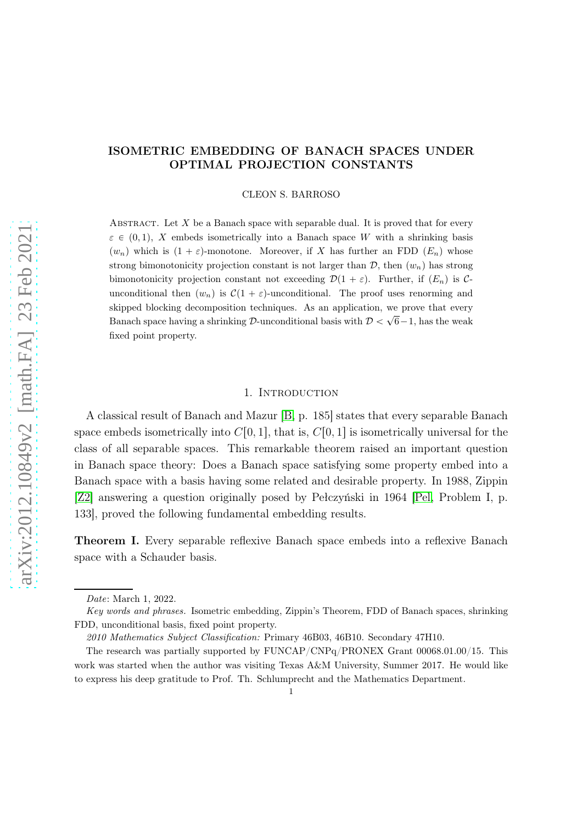# ISOMETRIC EMBEDDING OF BANACH SPACES UNDER OPTIMAL PROJECTION CONSTANTS

CLEON S. BARROSO

ABSTRACT. Let  $X$  be a Banach space with separable dual. It is proved that for every  $\varepsilon \in (0, 1)$ , X embeds isometrically into a Banach space W with a shrinking basis  $(w_n)$  which is  $(1 + \varepsilon)$ -monotone. Moreover, if X has further an FDD  $(E_n)$  whose strong bimonotonicity projection constant is not larger than  $\mathcal{D}$ , then  $(w_n)$  has strong bimonotonicity projection constant not exceeding  $\mathcal{D}(1 + \varepsilon)$ . Further, if  $(E_n)$  is Cunconditional then  $(w_n)$  is  $C(1 + \varepsilon)$ -unconditional. The proof uses renorming and skipped blocking decomposition techniques. As an application, we prove that every Banach space having a shrinking D-unconditional basis with  $\mathcal{D} < \sqrt{6}-1$ , has the weak fixed point property.

#### 1. INTRODUCTION

A classical result of Banach and Mazur [\[B,](#page-10-0) p. 185] states that every separable Banach space embeds isometrically into  $C[0, 1]$ , that is,  $C[0, 1]$  is isometrically universal for the class of all separable spaces. This remarkable theorem raised an important question in Banach space theory: Does a Banach space satisfying some property embed into a Banach space with a basis having some related and desirable property. In 1988, Zippin [\[Z2\]](#page-11-0) answering a question originally posed by Pełczyński in 1964 [\[Pel,](#page-11-1) Problem I, p. 133], proved the following fundamental embedding results.

<span id="page-0-0"></span>Theorem I. Every separable reflexive Banach space embeds into a reflexive Banach space with a Schauder basis.

Date: March 1, 2022.

Key words and phrases. Isometric embedding, Zippin's Theorem, FDD of Banach spaces, shrinking FDD, unconditional basis, fixed point property.

<sup>2010</sup> Mathematics Subject Classification: Primary 46B03, 46B10. Secondary 47H10.

The research was partially supported by FUNCAP/CNPq/PRONEX Grant 00068.01.00/15. This work was started when the author was visiting Texas A&M University, Summer 2017. He would like to express his deep gratitude to Prof. Th. Schlumprecht and the Mathematics Department.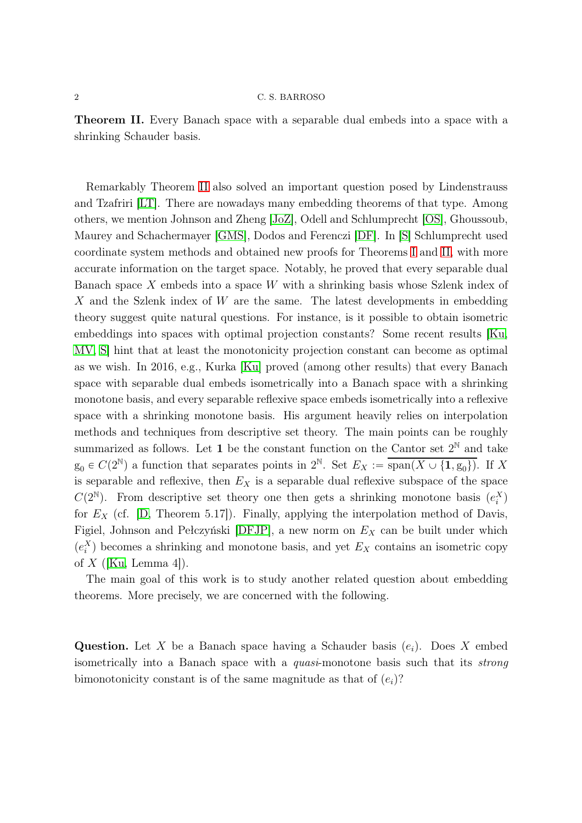<span id="page-1-0"></span>Theorem II. Every Banach space with a separable dual embeds into a space with a shrinking Schauder basis.

Remarkably Theorem [II](#page-1-0) also solved an important question posed by Lindenstrauss and Tzafriri [\[LT\]](#page-11-2). There are nowadays many embedding theorems of that type. Among others, we mention Johnson and Zheng [\[JoZ\]](#page-11-3), Odell and Schlumprecht [\[OS\]](#page-11-4), Ghoussoub, Maurey and Schachermayer [\[GMS\]](#page-10-1), Dodos and Ferenczi [\[DF\]](#page-10-2). In [\[S\]](#page-11-5) Schlumprecht used coordinate system methods and obtained new proofs for Theorems [I](#page-0-0) and [II,](#page-1-0) with more accurate information on the target space. Notably, he proved that every separable dual Banach space X embeds into a space W with a shrinking basis whose Szlenk index of X and the Szlenk index of W are the same. The latest developments in embedding theory suggest quite natural questions. For instance, is it possible to obtain isometric embeddings into spaces with optimal projection constants? Some recent results [\[Ku,](#page-11-6) [MV,](#page-11-7) [S\]](#page-11-5) hint that at least the monotonicity projection constant can become as optimal as we wish. In 2016, e.g., Kurka [\[Ku\]](#page-11-6) proved (among other results) that every Banach space with separable dual embeds isometrically into a Banach space with a shrinking monotone basis, and every separable reflexive space embeds isometrically into a reflexive space with a shrinking monotone basis. His argument heavily relies on interpolation methods and techniques from descriptive set theory. The main points can be roughly summarized as follows. Let 1 be the constant function on the Cantor set  $2^{\mathbb{N}}$  and take  $g_0 \in C(2^{\mathbb{N}})$  a function that separates points in  $2^{\mathbb{N}}$ . Set  $E_X := \overline{\text{span}(X \cup \{1, g_0\})}$ . If X is separable and reflexive, then  $E<sub>X</sub>$  is a separable dual reflexive subspace of the space  $C(2^{\mathbb{N}})$ . From descriptive set theory one then gets a shrinking monotone basis  $(e_i^X)$ for  $E_X$  (cf. [\[D,](#page-10-3) Theorem 5.17]). Finally, applying the interpolation method of Davis, Figiel, Johnson and Pełczyński [\[DFJP\]](#page-10-4), a new norm on  $E<sub>X</sub>$  can be built under which  $(e_i^X)$  becomes a shrinking and monotone basis, and yet  $E_X$  contains an isometric copy of  $X$  ([\[Ku,](#page-11-6) Lemma 4]).

The main goal of this work is to study another related question about embedding theorems. More precisely, we are concerned with the following.

**Question.** Let X be a Banach space having a Schauder basis  $(e_i)$ . Does X embed isometrically into a Banach space with a quasi-monotone basis such that its strong bimonotonicity constant is of the same magnitude as that of  $(e_i)$ ?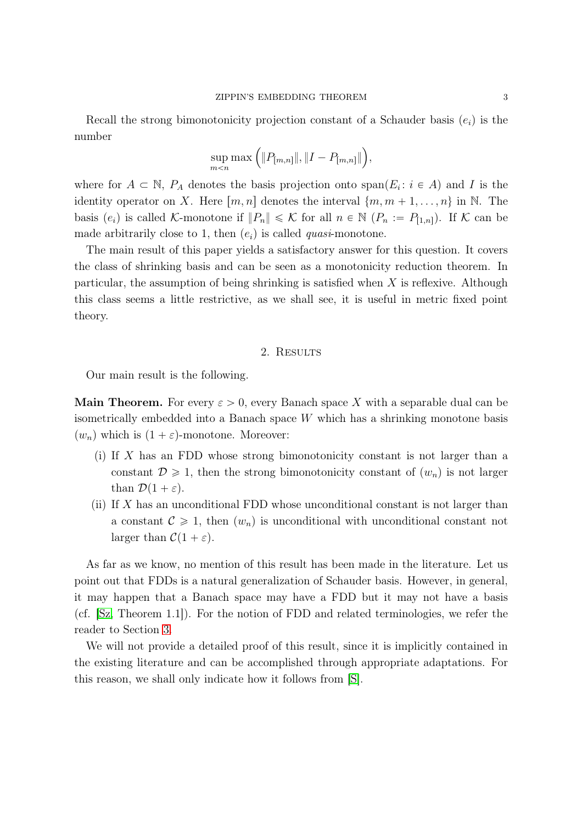Recall the strong bimonotonicity projection constant of a Schauder basis  $(e_i)$  is the number

$$
\sup_{m
$$

where for  $A \subset \mathbb{N}$ ,  $P_A$  denotes the basis projection onto span $(E_i : i \in A)$  and I is the identity operator on X. Here  $[m, n]$  denotes the interval  $\{m, m + 1, \ldots, n\}$  in N. The basis  $(e_i)$  is called K-monotone if  $||P_n|| \leq \mathcal{K}$  for all  $n \in \mathbb{N}$   $(P_n := P_{[1,n]})$ . If K can be made arbitrarily close to 1, then  $(e_i)$  is called *quasi*-monotone.

The main result of this paper yields a satisfactory answer for this question. It covers the class of shrinking basis and can be seen as a monotonicity reduction theorem. In particular, the assumption of being shrinking is satisfied when  $X$  is reflexive. Although this class seems a little restrictive, as we shall see, it is useful in metric fixed point theory.

### 2. RESULTS

Our main result is the following.

**Main Theorem.** For every  $\varepsilon > 0$ , every Banach space X with a separable dual can be isometrically embedded into a Banach space W which has a shrinking monotone basis  $(w_n)$  which is  $(1 + \varepsilon)$ -monotone. Moreover:

- (i) If X has an FDD whose strong bimonotonicity constant is not larger than a constant  $\mathcal{D} \geq 1$ , then the strong bimonotonicity constant of  $(w_n)$  is not larger than  $\mathcal{D}(1 + \varepsilon)$ .
- (ii) If  $X$  has an unconditional FDD whose unconditional constant is not larger than a constant  $\mathcal{C} \geq 1$ , then  $(w_n)$  is unconditional with unconditional constant not larger than  $C(1 + \varepsilon)$ .

As far as we know, no mention of this result has been made in the literature. Let us point out that FDDs is a natural generalization of Schauder basis. However, in general, it may happen that a Banach space may have a FDD but it may not have a basis (cf. [\[Sz,](#page-11-8) Theorem 1.1]). For the notion of FDD and related terminologies, we refer the reader to Section [3.](#page-5-0)

We will not provide a detailed proof of this result, since it is implicitly contained in the existing literature and can be accomplished through appropriate adaptations. For this reason, we shall only indicate how it follows from [\[S\]](#page-11-5).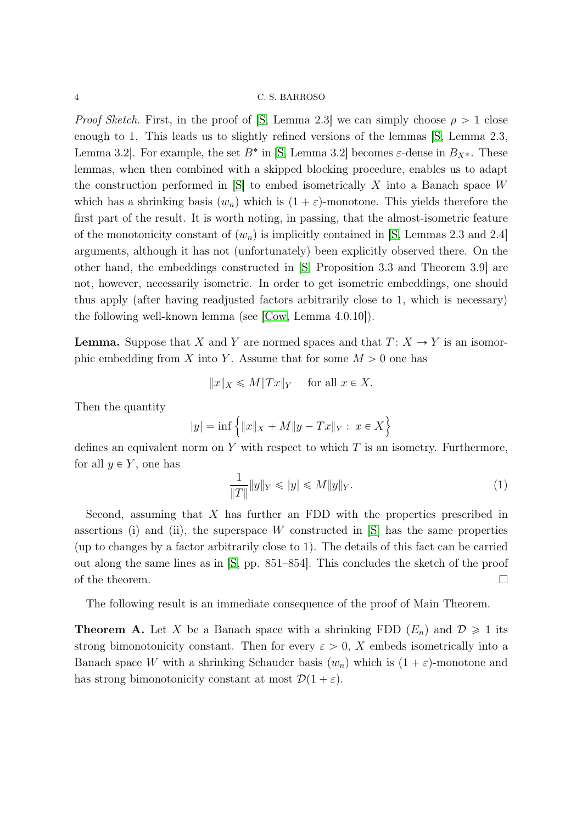*Proof Sketch.* First, in the proof of [\[S,](#page-11-5) Lemma 2.3] we can simply choose  $\rho > 1$  close enough to 1. This leads us to slightly refined versions of the lemmas [\[S,](#page-11-5) Lemma 2.3, Lemma 3.2. For example, the set  $B^*$  in [\[S,](#page-11-5) Lemma 3.2] becomes  $\varepsilon$ -dense in  $B_{X^*}$ . These lemmas, when then combined with a skipped blocking procedure, enables us to adapt the construction performed in  $[S]$  to embed isometrically X into a Banach space W which has a shrinking basis  $(w_n)$  which is  $(1 + \varepsilon)$ -monotone. This yields therefore the first part of the result. It is worth noting, in passing, that the almost-isometric feature of the monotonicity constant of  $(w_n)$  is implicitly contained in [\[S,](#page-11-5) Lemmas 2.3 and 2.4] arguments, although it has not (unfortunately) been explicitly observed there. On the other hand, the embeddings constructed in [\[S,](#page-11-5) Proposition 3.3 and Theorem 3.9] are not, however, necessarily isometric. In order to get isometric embeddings, one should thus apply (after having readjusted factors arbitrarily close to 1, which is necessary) the following well-known lemma (see [\[Cow,](#page-10-5) Lemma 4.0.10]).

**Lemma.** Suppose that X and Y are normed spaces and that  $T: X \to Y$  is an isomorphic embedding from X into Y. Assume that for some  $M > 0$  one has

$$
||x||_X \le M||Tx||_Y \quad \text{ for all } x \in X.
$$

Then the quantity

$$
|y| = \inf \{ ||x||_X + M||y - Tx||_Y : x \in X \}
$$

defines an equivalent norm on Y with respect to which  $T$  is an isometry. Furthermore, for all  $y \in Y$ , one has

$$
\frac{1}{\|T\|}\|y\|_{Y} \leqslant |y| \leqslant M\|y\|_{Y}.
$$
\n(1)

Second, assuming that  $X$  has further an FDD with the properties prescribed in assertions (i) and (ii), the superspace  $W$  constructed in  $[S]$  has the same properties (up to changes by a factor arbitrarily close to 1). The details of this fact can be carried out along the same lines as in [\[S,](#page-11-5) pp. 851–854]. This concludes the sketch of the proof of the theorem.  $\Box$ 

The following result is an immediate consequence of the proof of Main Theorem.

<span id="page-3-0"></span>**Theorem A.** Let X be a Banach space with a shrinking FDD  $(E_n)$  and  $\mathcal{D} \geq 1$  its strong bimonotonicity constant. Then for every  $\varepsilon > 0$ , X embeds isometrically into a Banach space W with a shrinking Schauder basis  $(w_n)$  which is  $(1 + \varepsilon)$ -monotone and has strong bimonotonicity constant at most  $\mathcal{D}(1 + \varepsilon)$ .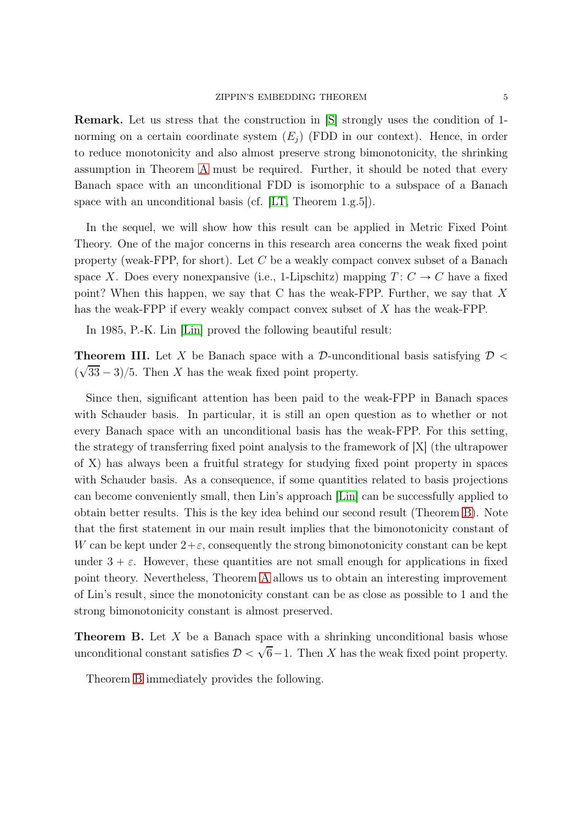Remark. Let us stress that the construction in [\[S\]](#page-11-5) strongly uses the condition of 1 norming on a certain coordinate system  $(E_i)$  (FDD in our context). Hence, in order to reduce monotonicity and also almost preserve strong bimonotonicity, the shrinking assumption in Theorem [A](#page-3-0) must be required. Further, it should be noted that every Banach space with an unconditional FDD is isomorphic to a subspace of a Banach space with an unconditional basis (cf. [\[LT,](#page-11-2) Theorem 1.g.5]).

In the sequel, we will show how this result can be applied in Metric Fixed Point Theory. One of the major concerns in this research area concerns the weak fixed point property (weak-FPP, for short). Let C be a weakly compact convex subset of a Banach space X. Does every nonexpansive (i.e., 1-Lipschitz) mapping  $T: C \rightarrow C$  have a fixed point? When this happen, we say that C has the weak-FPP. Further, we say that X has the weak-FPP if every weakly compact convex subset of X has the weak-FPP.

In 1985, P.-K. Lin [\[Lin\]](#page-11-9) proved the following beautiful result:

**Theorem III.** Let X be Banach space with a D-unconditional basis satisfying  $\mathcal{D}$  <  $\overline{\mathcal{L}}$  $\sqrt{33} - 3/5$ . Then X has the weak fixed point property.

Since then, significant attention has been paid to the weak-FPP in Banach spaces with Schauder basis. In particular, it is still an open question as to whether or not every Banach space with an unconditional basis has the weak-FPP. For this setting, the strategy of transferring fixed point analysis to the framework of [X] (the ultrapower of X) has always been a fruitful strategy for studying fixed point property in spaces with Schauder basis. As a consequence, if some quantities related to basis projections can become conveniently small, then Lin's approach [\[Lin\]](#page-11-9) can be successfully applied to obtain better results. This is the key idea behind our second result (Theorem [B\)](#page-4-0). Note that the first statement in our main result implies that the bimonotonicity constant of W can be kept under  $2+\varepsilon$ , consequently the strong bimonotonicity constant can be kept under  $3 + \varepsilon$ . However, these quantities are not small enough for applications in fixed point theory. Nevertheless, Theorem [A](#page-3-0) allows us to obtain an interesting improvement of Lin's result, since the monotonicity constant can be as close as possible to 1 and the strong bimonotonicity constant is almost preserved.

<span id="page-4-0"></span>**Theorem B.** Let  $X$  be a Banach space with a shrinking unconditional basis whose unconditional constant satisfies  $\mathcal{D} < \sqrt{6}-1$ . Then X has the weak fixed point property.

Theorem [B](#page-4-0) immediately provides the following.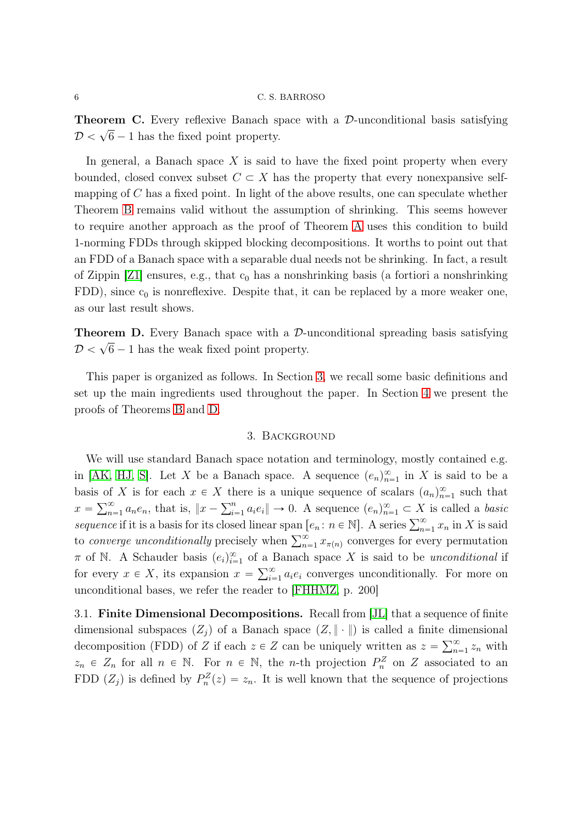**Theorem C.** Every reflexive Banach space with a  $\mathcal{D}$ -unconditional basis satisfying  $\mathcal{D} < \sqrt{6} - 1$  has the fixed point property.

In general, a Banach space  $X$  is said to have the fixed point property when every bounded, closed convex subset  $C \subset X$  has the property that every nonexpansive selfmapping of  $C$  has a fixed point. In light of the above results, one can speculate whether Theorem [B](#page-4-0) remains valid without the assumption of shrinking. This seems however to require another approach as the proof of Theorem [A](#page-3-0) uses this condition to build 1-norming FDDs through skipped blocking decompositions. It worths to point out that an FDD of a Banach space with a separable dual needs not be shrinking. In fact, a result of Zippin  $\left[21\right]$  ensures, e.g., that  $c_0$  has a nonshrinking basis (a fortiori a nonshrinking FDD), since  $c_0$  is nonreflexive. Despite that, it can be replaced by a more weaker one, as our last result shows.

<span id="page-5-1"></span>**Theorem D.** Every Banach space with a  $\mathcal{D}$ -unconditional spreading basis satisfying  $\mathcal{D} < \sqrt{6} - 1$  has the weak fixed point property.

<span id="page-5-0"></span>This paper is organized as follows. In Section [3,](#page-5-0) we recall some basic definitions and set up the main ingredients used throughout the paper. In Section [4](#page-7-0) we present the proofs of Theorems [B](#page-4-0) and [D.](#page-5-1)

#### 3. Background

We will use standard Banach space notation and terminology, mostly contained e.g. in [\[AK,](#page-10-6) [HJ,](#page-10-7) [S\]](#page-11-5). Let X be a Banach space. A sequence  $(e_n)_{n=1}^{\infty}$  in X is said to be a basis of X is for each  $x \in X$  there is a unique sequence of scalars  $(a_n)_{n=1}^{\infty}$  such that  $x = \sum_{n=1}^{\infty} a_n e_n$ , that is,  $||x - \sum_{i=1}^n a_i e_i|| \to 0$ . A sequence  $(e_n)_{n=1}^{\infty} \subset X$  is called a basic sequence if it is a basis for its closed linear span  $[e_n : n \in \mathbb{N}]$ . A series  $\sum_{n=1}^{\infty} x_n$  in X is said to converge unconditionally precisely when  $\sum_{n=1}^{\infty} x_{\pi(n)}$  converges for every permutation  $\pi$  of N. A Schauder basis  $(e_i)_{i=1}^{\infty}$  of a Banach space X is said to be *unconditional* if for every  $x \in X$ , its expansion  $x = \sum_{i=1}^{\infty} a_i e_i$  converges unconditionally. For more on unconditional bases, we refer the reader to [\[FHHMZ,](#page-10-8) p. 200]

3.1. Finite Dimensional Decompositions. Recall from [\[JL\]](#page-10-9) that a sequence of finite dimensional subspaces  $(Z_i)$  of a Banach space  $(Z, \|\cdot\|)$  is called a finite dimensional decomposition (FDD) of Z if each  $z \in Z$  can be uniquely written as  $z = \sum_{n=1}^{\infty} z_n$  with  $z_n \in Z_n$  for all  $n \in \mathbb{N}$ . For  $n \in \mathbb{N}$ , the n-th projection  $P_n^Z$  on Z associated to an FDD  $(Z_j)$  is defined by  $P_n^Z(z) = z_n$ . It is well known that the sequence of projections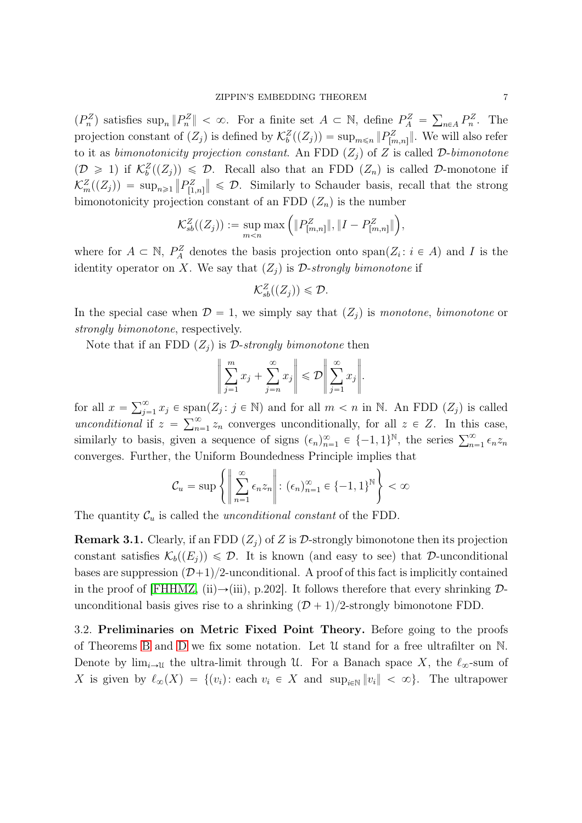$(P_n^Z)$  satisfies  $\sup_n \|P_n^Z\| < \infty$ . For a finite set  $A \subset \mathbb{N}$ , define  $P_A^Z = \sum_{n \in A} P_n^Z$ . The projection constant of  $(Z_j)$  is defined by  $\mathcal{K}_b^Z((Z_j)) = \sup_{m \leq n} ||P^Z_{[m,n]}||$ . We will also refer to it as bimonotonicity projection constant. An FDD  $(Z_i)$  of Z is called D-bimonotone  $(\mathcal{D} \geq 1)$  if  $\mathcal{K}_b^Z((Z_j)) \leq \mathcal{D}$ . Recall also that an FDD  $(Z_n)$  is called  $\mathcal{D}$ -monotone if  $\mathcal{K}_m^Z((Z_j)) = \sup_{n \geq 1} ||P_{[1,n]}^Z|| \leq \mathcal{D}$ . Similarly to Schauder basis, recall that the strong bimonotonicity projection constant of an FDD  $(Z_n)$  is the number

$$
\mathcal{K}_{sb}^Z((Z_j)) := \sup_{m < n} \max\left( \|P_{[m,n]}^Z\|, \|I - P_{[m,n]}^Z\|\right),
$$

where for  $A \subset \mathbb{N}$ ,  $P_A^Z$  denotes the basis projection onto span $(Z_i : i \in A)$  and I is the identity operator on X. We say that  $(Z_i)$  is D-strongly bimonotone if

$$
\mathcal{K}_{sb}^Z((Z_j))\leqslant \mathcal{D}.
$$

In the special case when  $\mathcal{D} = 1$ , we simply say that  $(Z_i)$  is monotone, bimonotone or strongly bimonotone, respectively.

Note that if an FDD  $(Z_i)$  is D-strongly bimonotone then

$$
\left\| \sum_{j=1}^m x_j + \sum_{j=n}^\infty x_j \right\| \leqslant \mathcal{D} \left\| \sum_{j=1}^\infty x_j \right\|.
$$

for all  $x = \sum_{j=1}^{\infty} x_j \in \text{span}(Z_j : j \in \mathbb{N})$  and for all  $m < n$  in  $\mathbb{N}$ . An FDD  $(Z_j)$  is called unconditional if  $z = \sum_{n=1}^{\infty} z_n$  converges unconditionally, for all  $z \in Z$ . In this case, similarly to basis, given a sequence of signs  $(\epsilon_n)_{n=1}^{\infty} \in \{-1,1\}^{\mathbb{N}}$ , the series  $\sum_{n=1}^{\infty} \epsilon_n z_n$ converges. Further, the Uniform Boundedness Principle implies that

$$
\mathcal{C}_u = \sup \left\{ \left\| \sum_{n=1}^{\infty} \epsilon_n z_n \right\| : (\epsilon_n)_{n=1}^{\infty} \in \{-1, 1\}^{\mathbb{N}} \right\} < \infty
$$

The quantity  $\mathcal{C}_u$  is called the *unconditional constant* of the FDD.

<span id="page-6-0"></span>**Remark 3.1.** Clearly, if an FDD  $(Z_i)$  of Z is D-strongly bimonotone then its projection constant satisfies  $\mathcal{K}_b((E_i)) \leq \mathcal{D}$ . It is known (and easy to see) that D-unconditional bases are suppression  $(D+1)/2$ -unconditional. A proof of this fact is implicitly contained in the proof of [\[FHHMZ,](#page-10-8) (ii) $\rightarrow$ (iii), p.202]. It follows therefore that every shrinking  $\mathcal{D}$ unconditional basis gives rise to a shrinking  $(D + 1)/2$ -strongly bimonotone FDD.

3.2. Preliminaries on Metric Fixed Point Theory. Before going to the proofs of Theorems [B](#page-4-0) and [D](#page-5-1) we fix some notation. Let U stand for a free ultrafilter on N. Denote by  $\lim_{i\to\infty}$  the ultra-limit through U. For a Banach space X, the  $\ell_{\infty}$ -sum of X is given by  $\ell_{\infty}(X) = \{(v_i): \text{each } v_i \in X \text{ and } \sup_{i\in\mathbb{N}} ||v_i|| < \infty\}.$  The ultrapower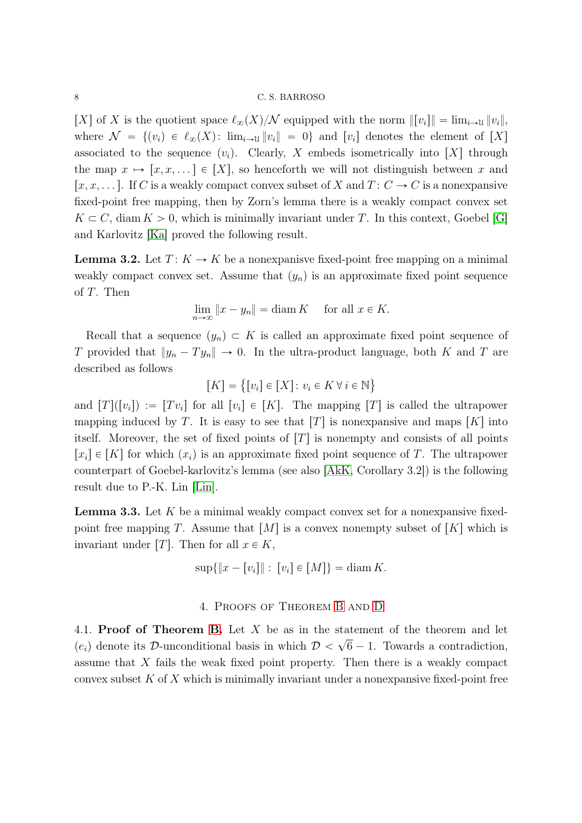#### 8 C. S. BARROSO

[X] of X is the quotient space  $\ell_{\infty}(X)/\mathcal{N}$  equipped with the norm  $\Vert [v_i] \Vert = \lim_{i \to \infty} \Vert v_i \Vert$ , where  $\mathcal{N} = \{(v_i) \in \ell_\infty(X) : \lim_{i \to \infty} ||v_i|| = 0\}$  and  $[v_i]$  denotes the element of [X] associated to the sequence  $(v_i)$ . Clearly, X embeds isometrically into [X] through the map  $x \mapsto [x, x, \dots] \in [X]$ , so henceforth we will not distinguish between x and  $[x, x, \dots]$ . If C is a weakly compact convex subset of X and  $T : C \to C$  is a nonexpansive fixed-point free mapping, then by Zorn's lemma there is a weakly compact convex set  $K \subset C$ , diam  $K > 0$ , which is minimally invariant under T. In this context, Goebel [\[G\]](#page-10-10) and Karlovitz [\[Ka\]](#page-11-11) proved the following result.

**Lemma 3.2.** Let  $T: K \to K$  be a nonexpanisve fixed-point free mapping on a minimal weakly compact convex set. Assume that  $(y_n)$  is an approximate fixed point sequence of T. Then

$$
\lim_{n \to \infty} ||x - y_n|| = \operatorname{diam} K \quad \text{ for all } x \in K.
$$

Recall that a sequence  $(y_n) \subset K$  is called an approximate fixed point sequence of T provided that  $||y_n - Ty_n|| \to 0$ . In the ultra-product language, both K and T are described as follows

$$
[K] = \big\{ [v_i] \in [X] \colon v_i \in K \, \forall \, i \in \mathbb{N} \big\}
$$

and  $[T](v_i) := [Tv_i]$  for all  $[v_i] \in [K]$ . The mapping  $[T]$  is called the ultrapower mapping induced by T. It is easy to see that  $[T]$  is nonexpansive and maps  $[K]$  into itself. Moreover, the set of fixed points of  $[T]$  is nonempty and consists of all points  $[x_i] \in [K]$  for which  $(x_i)$  is an approximate fixed point sequence of T. The ultrapower counterpart of Goebel-karlovitz's lemma (see also [\[AkK,](#page-10-11) Corollary 3.2]) is the following result due to P.-K. Lin [\[Lin\]](#page-11-9).

<span id="page-7-1"></span>**Lemma 3.3.** Let  $K$  be a minimal weakly compact convex set for a nonexpansive fixedpoint free mapping T. Assume that  $[M]$  is a convex nonempty subset of  $[K]$  which is invariant under [T]. Then for all  $x \in K$ ,

$$
\sup\{\|x - [v_i]\| : [v_i] \in [M]\} = \text{diam } K.
$$

## 4. Proofs of Theorem [B](#page-4-0) and [D](#page-5-1)

<span id="page-7-0"></span>4.1. Proof of Theorem [B.](#page-4-0) Let  $X$  be as in the statement of the theorem and let  $(e_i)$  denote its D-unconditional basis in which  $\mathcal{D} < \sqrt{6} - 1$ . Towards a contradiction, assume that X fails the weak fixed point property. Then there is a weakly compact convex subset  $K$  of  $X$  which is minimally invariant under a nonexpansive fixed-point free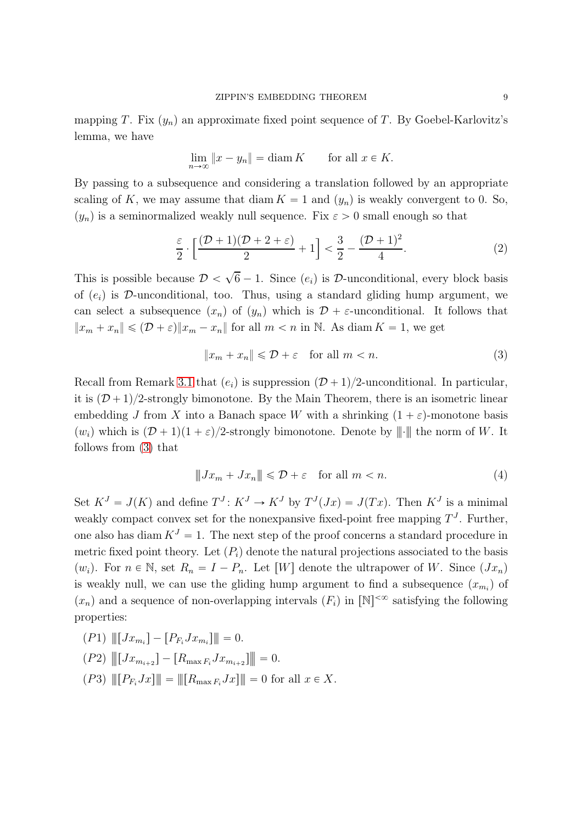mapping T. Fix  $(y_n)$  an approximate fixed point sequence of T. By Goebel-Karlovitz's lemma, we have

$$
\lim_{n \to \infty} ||x - y_n|| = \text{diam } K \qquad \text{for all } x \in K.
$$

By passing to a subsequence and considering a translation followed by an appropriate scaling of K, we may assume that diam  $K = 1$  and  $(y_n)$  is weakly convergent to 0. So,  $p(y_n)$  is a seminormalized weakly null sequence. Fix  $\varepsilon > 0$  small enough so that

<span id="page-8-2"></span>
$$
\frac{\varepsilon}{2} \cdot \left[ \frac{(\mathcal{D} + 1)(\mathcal{D} + 2 + \varepsilon)}{2} + 1 \right] < \frac{3}{2} - \frac{(\mathcal{D} + 1)^2}{4}.\tag{2}
$$

This is possible because  $\mathcal{D} < \sqrt{6} - 1$ . Since  $(e_i)$  is  $\mathcal{D}$ -unconditional, every block basis of  $(e_i)$  is D-unconditional, too. Thus, using a standard gliding hump argument, we can select a subsequence  $(x_n)$  of  $(y_n)$  which is  $\mathcal{D} + \varepsilon$ -unconditional. It follows that  $||x_m + x_n|| \leq (D + \varepsilon) ||x_m - x_n||$  for all  $m < n$  in N. As diam  $K = 1$ , we get

<span id="page-8-0"></span>
$$
||x_m + x_n|| \le D + \varepsilon \quad \text{for all } m < n. \tag{3}
$$

Recall from Remark [3.1](#page-6-0) that  $(e_i)$  is suppression  $(D + 1)/2$ -unconditional. In particular, it is  $(D + 1)/2$ -strongly bimonotone. By the Main Theorem, there is an isometric linear embedding J from X into a Banach space W with a shrinking  $(1 + \varepsilon)$ -monotone basis  $p(w_i)$  which is  $(D + 1)(1 + \varepsilon)/2$ -strongly bimonotone. Denote by  $||\cdot||$  the norm of W. It follows from [\(3\)](#page-8-0) that

<span id="page-8-1"></span>
$$
\|Jx_m + Jx_n\| \leq D + \varepsilon \quad \text{for all } m < n. \tag{4}
$$

Set  $K^J = J(K)$  and define  $T^J: K^J \to K^J$  by  $T^J(Jx) = J(Tx)$ . Then  $K^J$  is a minimal weakly compact convex set for the nonexpansive fixed-point free mapping  $T<sup>J</sup>$ . Further, one also has diam  $K^J = 1$ . The next step of the proof concerns a standard procedure in metric fixed point theory. Let  $(P_i)$  denote the natural projections associated to the basis  $(w_i)$ . For  $n \in \mathbb{N}$ , set  $R_n = I - P_n$ . Let [W] denote the ultrapower of W. Since  $(Jx_n)$ is weakly null, we can use the gliding hump argument to find a subsequence  $(x_{m_i})$  of  $(x_n)$  and a sequence of non-overlapping intervals  $(F_i)$  in  $[N]^{<\infty}$  satisfying the following properties:

(P1) |||rJx<sup>m</sup><sup>i</sup> s ´ rP<sup>F</sup>iJx<sup>m</sup><sup>i</sup> s||| " 0.

$$
(P2) \t\t ||[Jx_{m_{i+2}}] - [R_{\max F_i} Jx_{m_{i+2}}]|| = 0.
$$

 $\|P_1(P3)\| \|P_{F_i}Jx\| \| = \| [R_{\max F_i}Jx] \| = 0$  for all  $x \in X$ .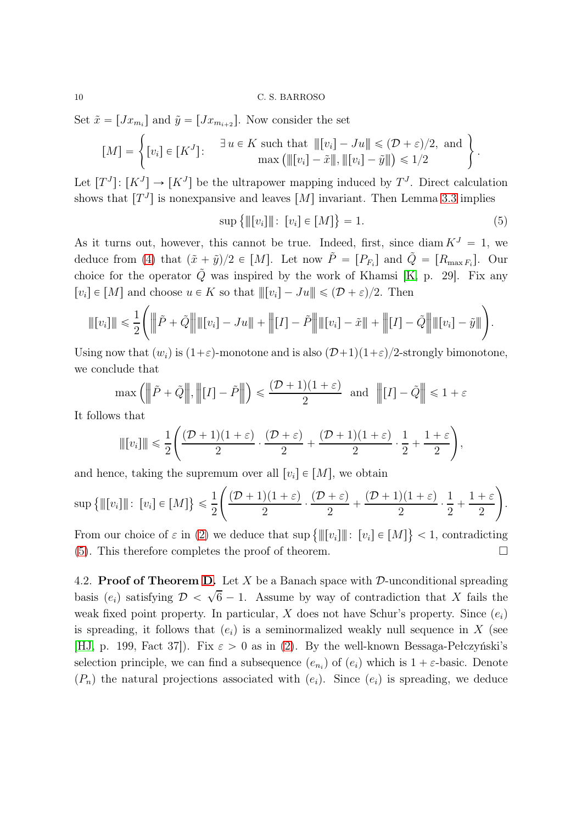#### 10 C. S. BARROSO

Set  $\tilde{x} = [Jx_{m_i}]$  and  $\tilde{y} = [Jx_{m_{i+2}}]$ . Now consider the set

$$
[M] = \left\{ [v_i] \in [K^J] : \begin{array}{c} \exists u \in K \text{ such that } ||[v_i] - Ju|| \leq (\mathcal{D} + \varepsilon)/2, \text{ and} \\ \max \left( ||[v_i] - \tilde{x}||, ||[v_i] - \tilde{y}|| \right) \leq 1/2 \end{array} \right\}.
$$

Let  $[T<sup>J</sup>]$ :  $[K<sup>J</sup>] \rightarrow [K<sup>J</sup>]$  be the ultrapower mapping induced by  $T<sup>J</sup>$ . Direct calculation shows that  $[T<sup>J</sup>]$  is nonexpansive and leaves  $[M]$  invariant. Then Lemma [3.3](#page-7-1) implies

<span id="page-9-0"></span>
$$
\sup \{ \| [v_i] \| : [v_i] \in [M] \} = 1. \tag{5}
$$

As it turns out, however, this cannot be true. Indeed, first, since diam  $K^J = 1$ , we deduce from [\(4\)](#page-8-1) that  $(\tilde{x} + \tilde{y})/2 \in [M]$ . Let now  $\tilde{P} = [P_{F_i}]$  and  $\tilde{Q} = [R_{\max F_i}]$ . Our choice for the operator  $\tilde{Q}$  was inspired by the work of Khamsi [\[K,](#page-11-12) p. 29]. Fix any  $[v_i] \in [M]$  and choose  $u \in K$  so that  $||[v_i] - Ju|| \leq (D + \varepsilon)/2$ . Then

$$
\| [v_i] \| \leq \frac{1}{2} \left( \left\| \tilde{P} + \tilde{Q} \right\| \|\left[v_i\right] - Ju\| + \left\| [I] - \tilde{P} \right\| \|\left[v_i\right] - \tilde{x} \| + \left\| [I] - \tilde{Q} \right\| \|\left[v_i\right] - \tilde{y} \| \right).
$$

Using now that  $(w_i)$  is  $(1+\varepsilon)$ -monotone and is also  $(D+1)(1+\varepsilon)/2$ -strongly bimonotone, we conclude that

$$
\max\left(\left\|\tilde{P}+\tilde{Q}\right\|,\left\|[I]-\tilde{P}\right\|\right)\leqslant\frac{(\mathcal{D}+1)(1+\varepsilon)}{2}\;\;\text{and}\;\;\left\|[I]-\tilde{Q}\right\|\leqslant1+\varepsilon
$$

It follows that

$$
\| [v_i]\| \leq \frac{1}{2} \left( \frac{(\mathcal{D} + 1)(1+\varepsilon)}{2} \cdot \frac{(\mathcal{D} + \varepsilon)}{2} + \frac{(\mathcal{D} + 1)(1+\varepsilon)}{2} \cdot \frac{1}{2} + \frac{1+\varepsilon}{2} \right),
$$

and hence, taking the supremum over all  $[v_i] \in [M]$ , we obtain

$$
\sup\left\{\| [v_i]\|: [v_i] \in [M] \right\} \leq \frac{1}{2} \left( \frac{(\mathcal{D} + 1)(1 + \varepsilon)}{2} \cdot \frac{(\mathcal{D} + \varepsilon)}{2} + \frac{(\mathcal{D} + 1)(1 + \varepsilon)}{2} \cdot \frac{1}{2} + \frac{1 + \varepsilon}{2} \right).
$$

From our choice of  $\varepsilon$  in [\(2\)](#page-8-2) we deduce that sup  $\{\Vert [v_i] \Vert : [v_i] \in [M] \} < 1$ , contradicting [\(5\)](#page-9-0). This therefore completes the proof of theorem.  $\Box$ 

4.2. **Proof of Theorem [D.](#page-5-1)** Let X be a Banach space with  $\mathcal{D}$ -unconditional spreading basis  $(e_i)$  satisfying  $\mathcal{D} < \sqrt{6} - 1$ . Assume by way of contradiction that X fails the weak fixed point property. In particular, X does not have Schur's property. Since  $(e_i)$ is spreading, it follows that  $(e_i)$  is a seminormalized weakly null sequence in X (see [\[HJ,](#page-10-7) p. 199, Fact 37]). Fix  $\varepsilon > 0$  as in [\(2\)](#page-8-2). By the well-known Bessaga-Pełczyński's selection principle, we can find a subsequence  $(e_{n_i})$  of  $(e_i)$  which is  $1 + \varepsilon$ -basic. Denote  $(P_n)$  the natural projections associated with  $(e_i)$ . Since  $(e_i)$  is spreading, we deduce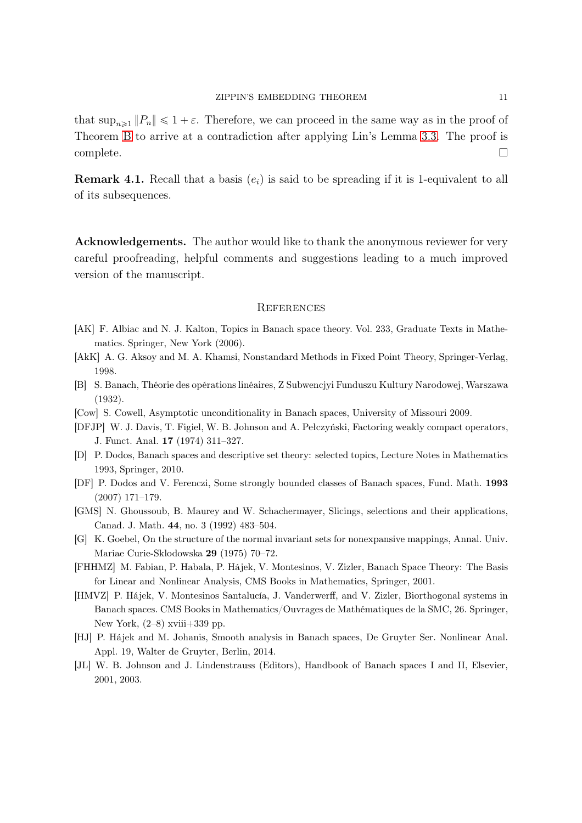that  $\sup_{n\geq 1} ||P_n|| \leq 1 + \varepsilon$ . Therefore, we can proceed in the same way as in the proof of Theorem [B](#page-4-0) to arrive at a contradiction after applying Lin's Lemma [3.3.](#page-7-1) The proof is  $\Box$ complete.

**Remark 4.1.** Recall that a basis  $(e_i)$  is said to be spreading if it is 1-equivalent to all of its subsequences.

Acknowledgements. The author would like to thank the anonymous reviewer for very careful proofreading, helpful comments and suggestions leading to a much improved version of the manuscript.

#### **REFERENCES**

- <span id="page-10-6"></span>[AK] F. Albiac and N. J. Kalton, Topics in Banach space theory. Vol. 233, Graduate Texts in Mathematics. Springer, New York (2006).
- <span id="page-10-11"></span>[AkK] A. G. Aksoy and M. A. Khamsi, Nonstandard Methods in Fixed Point Theory, Springer-Verlag, 1998.
- <span id="page-10-0"></span>[B] S. Banach, Théorie des opérations linéaires, Z Subwencjyi Funduszu Kultury Narodowej, Warszawa (1932).
- <span id="page-10-5"></span>[Cow] S. Cowell, Asymptotic unconditionality in Banach spaces, University of Missouri 2009.
- <span id="page-10-4"></span>[DFJP] W. J. Davis, T. Figiel, W. B. Johnson and A. Pełczyński, Factoring weakly compact operators, J. Funct. Anal. 17 (1974) 311–327.
- <span id="page-10-3"></span>[D] P. Dodos, Banach spaces and descriptive set theory: selected topics, Lecture Notes in Mathematics 1993, Springer, 2010.
- <span id="page-10-2"></span>[DF] P. Dodos and V. Ferenczi, Some strongly bounded classes of Banach spaces, Fund. Math. 1993 (2007) 171–179.
- <span id="page-10-1"></span>[GMS] N. Ghoussoub, B. Maurey and W. Schachermayer, Slicings, selections and their applications, Canad. J. Math. 44, no. 3 (1992) 483–504.
- <span id="page-10-10"></span>[G] K. Goebel, On the structure of the normal invariant sets for nonexpansive mappings, Annal. Univ. Mariae Curie-Sklodowska 29 (1975) 70–72.
- <span id="page-10-8"></span>[FHHMZ] M. Fabian, P. Habala, P. Hájek, V. Montesinos, V. Zizler, Banach Space Theory: The Basis for Linear and Nonlinear Analysis, CMS Books in Mathematics, Springer, 2001.
- [HMVZ] P. Hájek, V. Montesinos Santalucía, J. Vanderwerff, and V. Zizler, Biorthogonal systems in Banach spaces. CMS Books in Mathematics/Ouvrages de Mathématiques de la SMC, 26. Springer, New York,  $(2-8)$  xviii $+339$  pp.
- <span id="page-10-7"></span>[HJ] P. Hájek and M. Johanis, Smooth analysis in Banach spaces, De Gruyter Ser. Nonlinear Anal. Appl. 19, Walter de Gruyter, Berlin, 2014.
- <span id="page-10-9"></span>[JL] W. B. Johnson and J. Lindenstrauss (Editors), Handbook of Banach spaces I and II, Elsevier, 2001, 2003.